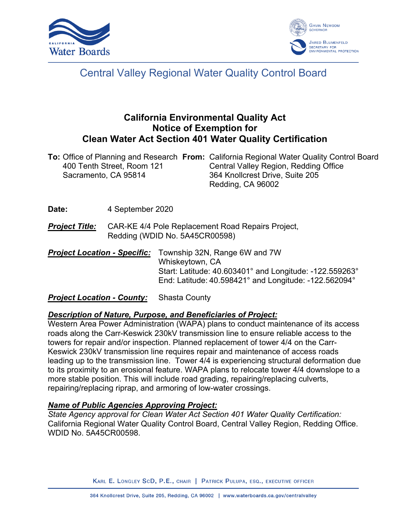



## Central Valley Regional Water Quality Control Board

### **California Environmental Quality Act Notice of Exemption for Clean Water Act Section 401 Water Quality Certification**

|                            | <b>To:</b> Office of Planning and Research From: California Regional Water Quality Control Board |
|----------------------------|--------------------------------------------------------------------------------------------------|
| 400 Tenth Street, Room 121 | Central Valley Region, Redding Office                                                            |
| Sacramento, CA 95814       | 364 Knollcrest Drive, Suite 205                                                                  |
|                            | Redding, CA 96002                                                                                |

**Date:** 4 September 2020

- *Project Title:* CAR-KE 4/4 Pole Replacement Road Repairs Project, Redding (WDID No. 5A45CR00598)
- *Project Location Specific:* Township 32N, Range 6W and 7W Whiskeytown, CA Start: Latitude: 40.603401° and Longitude: -122.559263° End: Latitude: 40.598421° and Longitude: -122.562094°

### *Project Location - County:* Shasta County

### *Description of Nature, Purpose, and Beneficiaries of Project:*

Western Area Power Administration (WAPA) plans to conduct maintenance of its access roads along the Carr-Keswick 230kV transmission line to ensure reliable access to the towers for repair and/or inspection. Planned replacement of tower 4/4 on the Carr-Keswick 230kV transmission line requires repair and maintenance of access roads leading up to the transmission line. Tower 4/4 is experiencing structural deformation due to its proximity to an erosional feature. WAPA plans to relocate tower 4/4 downslope to a more stable position. This will include road grading, repairing/replacing culverts, repairing/replacing riprap, and armoring of low-water crossings.

### *Name of Public Agencies Approving Project:*

*State Agency approval for Clean Water Act Section 401 Water Quality Certification:* California Regional Water Quality Control Board, Central Valley Region, Redding Office. WDID No. 5A45CR00598.